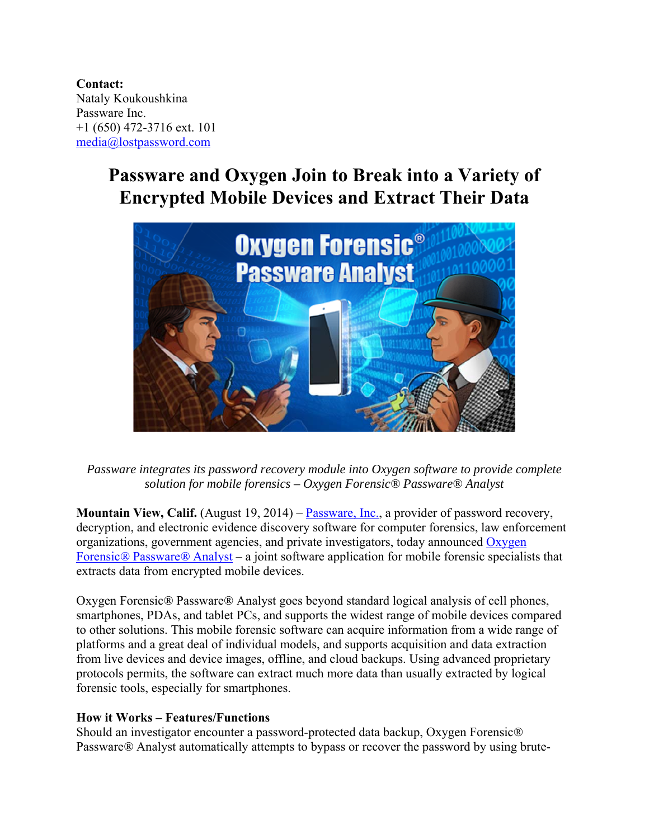**Contact:**  Nataly Koukoushkina Passware Inc. +1 (650) 472-3716 ext. 101 media@lostpassword.com

# **Passware and Oxygen Join to Break into a Variety of Encrypted Mobile Devices and Extract Their Data**



*Passware integrates its password recovery module into Oxygen software to provide complete solution for mobile forensics – Oxygen Forensic® Passware® Analyst* 

**Mountain View, Calif.** (August 19, 2014) – Passware, Inc., a provider of password recovery, decryption, and electronic evidence discovery software for computer forensics, law enforcement organizations, government agencies, and private investigators, today announced Oxygen Forensic*®* Passware*®* Analyst – a joint software application for mobile forensic specialists that extracts data from encrypted mobile devices.

Oxygen Forensic*®* Passware*®* Analyst goes beyond standard logical analysis of cell phones, smartphones, PDAs, and tablet PCs, and supports the widest range of mobile devices compared to other solutions. This mobile forensic software can acquire information from a wide range of platforms and a great deal of individual models, and supports acquisition and data extraction from live devices and device images, offline, and cloud backups. Using advanced proprietary protocols permits, the software can extract much more data than usually extracted by logical forensic tools, especially for smartphones.

### **How it Works – Features/Functions**

Should an investigator encounter a password-protected data backup, Oxygen Forensic*®* Passware*®* Analyst automatically attempts to bypass or recover the password by using brute-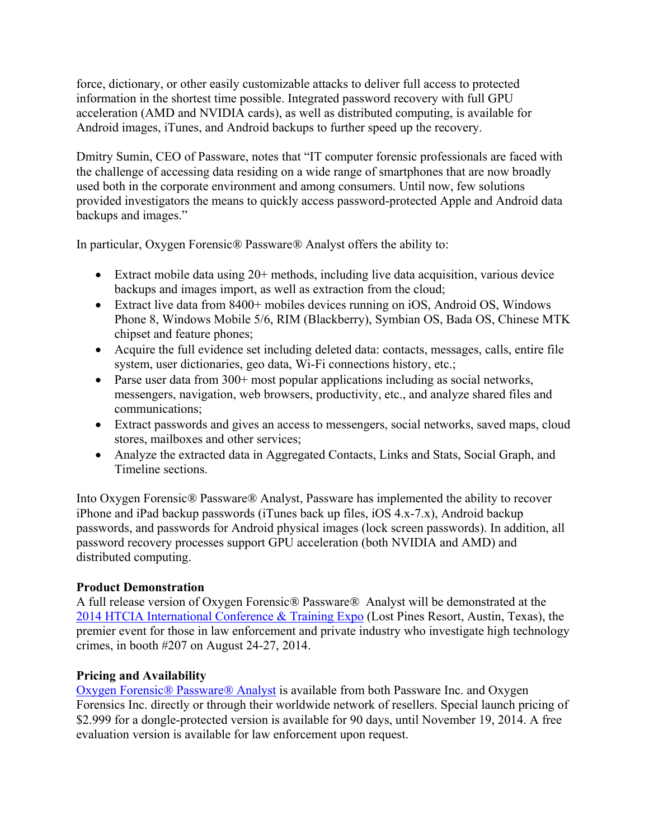force, dictionary, or other easily customizable attacks to deliver full access to protected information in the shortest time possible. Integrated password recovery with full GPU acceleration (AMD and NVIDIA cards), as well as distributed computing, is available for Android images, iTunes, and Android backups to further speed up the recovery.

Dmitry Sumin, CEO of Passware, notes that "IT computer forensic professionals are faced with the challenge of accessing data residing on a wide range of smartphones that are now broadly used both in the corporate environment and among consumers. Until now, few solutions provided investigators the means to quickly access password-protected Apple and Android data backups and images."

In particular, Oxygen Forensic*®* Passware*®* Analyst offers the ability to:

- Extract mobile data using 20+ methods, including live data acquisition, various device backups and images import, as well as extraction from the cloud;
- Extract live data from 8400+ mobiles devices running on iOS, Android OS, Windows Phone 8, Windows Mobile 5/6, RIM (Blackberry), Symbian OS, Bada OS, Chinese MTK chipset and feature phones;
- Acquire the full evidence set including deleted data: contacts, messages, calls, entire file system, user dictionaries, geo data, Wi-Fi connections history, etc.;
- Parse user data from 300+ most popular applications including as social networks, messengers, navigation, web browsers, productivity, etc., and analyze shared files and communications;
- Extract passwords and gives an access to messengers, social networks, saved maps, cloud stores, mailboxes and other services;
- Analyze the extracted data in Aggregated Contacts, Links and Stats, Social Graph, and Timeline sections.

Into Oxygen Forensic*®* Passware*®* Analyst, Passware has implemented the ability to recover iPhone and iPad backup passwords (iTunes back up files, iOS 4.x-7.x), Android backup passwords, and passwords for Android physical images (lock screen passwords). In addition, all password recovery processes support GPU acceleration (both NVIDIA and AMD) and distributed computing.

## **Product Demonstration**

A full release version of Oxygen Forensic*®* Passware*®* Analyst will be demonstrated at the 2014 HTCIA International Conference & Training Expo (Lost Pines Resort, Austin, Texas), the premier event for those in law enforcement and private industry who investigate high technology crimes, in booth #207 on August 24-27, 2014.

## **Pricing and Availability**

Oxygen Forensic*®* Passware*®* Analyst is available from both Passware Inc. and Oxygen Forensics Inc. directly or through their worldwide network of resellers. Special launch pricing of \$2.999 for a dongle-protected version is available for 90 days, until November 19, 2014. A free evaluation version is available for law enforcement upon request.